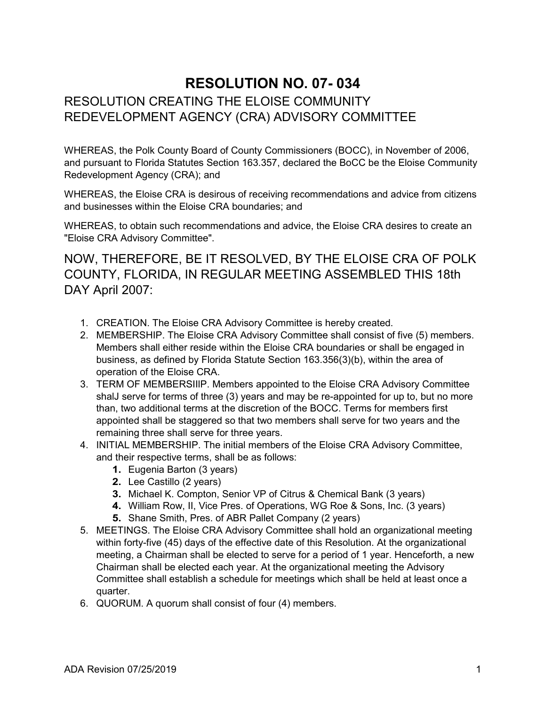## **RESOLUTION NO. 07- 034** RESOLUTION CREATING THE ELOISE COMMUNITY REDEVELOPMENT AGENCY (CRA) ADVISORY COMMITTEE

WHEREAS, the Polk County Board of County Commissioners (BOCC), in November of 2006, and pursuant to Florida Statutes Section 163.357, declared the BoCC be the Eloise Community Redevelopment Agency (CRA); and

WHEREAS, the Eloise CRA is desirous of receiving recommendations and advice from citizens and businesses within the Eloise CRA boundaries; and

WHEREAS, to obtain such recommendations and advice, the Eloise CRA desires to create an "Eloise CRA Advisory Committee".

NOW, THEREFORE, BE IT RESOLVED, BY THE ELOISE CRA OF POLK COUNTY, FLORIDA, IN REGULAR MEETING ASSEMBLED THIS 18th DAY April 2007:

- 1. CREATION. The Eloise CRA Advisory Committee is hereby created.
- 2. MEMBERSHIP. The Eloise CRA Advisory Committee shall consist of five (5) members. Members shall either reside within the Eloise CRA boundaries or shall be engaged in business, as defined by Florida Statute Section 163.356(3)(b), within the area of operation of the Eloise CRA.
- 3. TERM OF MEMBERSIIlP. Members appointed to the Eloise CRA Advisory Committee shalJ serve for terms of three (3) years and may be re-appointed for up to, but no more than, two additional terms at the discretion of the BOCC. Terms for members first appointed shall be staggered so that two members shall serve for two years and the remaining three shall serve for three years.
- 4. INITIAL MEMBERSHIP. The initial members of the Eloise CRA Advisory Committee, and their respective terms, shall be as follows:
	- **1.** Eugenia Barton (3 years)
	- **2.** Lee Castillo (2 years)
	- **3.** Michael K. Compton, Senior VP of Citrus & Chemical Bank (3 years)
	- **4.** William Row, II, Vice Pres. of Operations, WG Roe & Sons, Inc. (3 years)
	- **5.** Shane Smith, Pres. of ABR Pallet Company (2 years)
- 5. MEETINGS. The Eloise CRA Advisory Committee shall hold an organizational meeting within forty-five (45) days of the effective date of this Resolution. At the organizational meeting, a Chairman shall be elected to serve for a period of 1 year. Henceforth, a new Chairman shall be elected each year. At the organizational meeting the Advisory Committee shall establish a schedule for meetings which shall be held at least once a quarter.
- 6. QUORUM. A quorum shall consist of four (4) members.